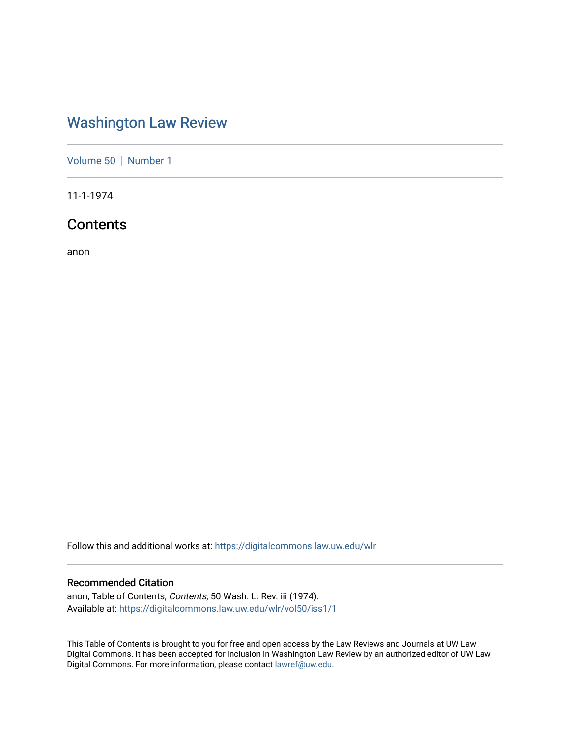## [Washington Law Review](https://digitalcommons.law.uw.edu/wlr)

[Volume 50](https://digitalcommons.law.uw.edu/wlr/vol50) | [Number 1](https://digitalcommons.law.uw.edu/wlr/vol50/iss1)

11-1-1974

### **Contents**

anon

Follow this and additional works at: [https://digitalcommons.law.uw.edu/wlr](https://digitalcommons.law.uw.edu/wlr?utm_source=digitalcommons.law.uw.edu%2Fwlr%2Fvol50%2Fiss1%2F1&utm_medium=PDF&utm_campaign=PDFCoverPages)

#### Recommended Citation

anon, Table of Contents, Contents, 50 Wash. L. Rev. iii (1974). Available at: [https://digitalcommons.law.uw.edu/wlr/vol50/iss1/1](https://digitalcommons.law.uw.edu/wlr/vol50/iss1/1?utm_source=digitalcommons.law.uw.edu%2Fwlr%2Fvol50%2Fiss1%2F1&utm_medium=PDF&utm_campaign=PDFCoverPages)

This Table of Contents is brought to you for free and open access by the Law Reviews and Journals at UW Law Digital Commons. It has been accepted for inclusion in Washington Law Review by an authorized editor of UW Law Digital Commons. For more information, please contact [lawref@uw.edu.](mailto:lawref@uw.edu)